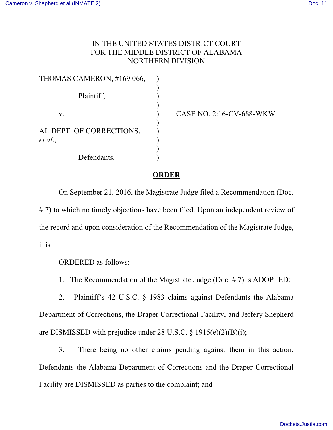## IN THE UNITED STATES DISTRICT COURT FOR THE MIDDLE DISTRICT OF ALABAMA NORTHERN DIVISION

| THOMAS CAMERON, #169 066,           |  |
|-------------------------------------|--|
| Plaintiff,                          |  |
| V.                                  |  |
| AL DEPT. OF CORRECTIONS,<br>et al., |  |
| Defendants.                         |  |

CASE NO. 2:16-CV-688-WKW

## **ORDER**

On September 21, 2016, the Magistrate Judge filed a Recommendation (Doc. # 7) to which no timely objections have been filed. Upon an independent review of the record and upon consideration of the Recommendation of the Magistrate Judge, it is

ORDERED as follows:

1. The Recommendation of the Magistrate Judge (Doc. # 7) is ADOPTED;

2. Plaintiff's 42 U.S.C. § 1983 claims against Defendants the Alabama Department of Corrections, the Draper Correctional Facility, and Jeffery Shepherd are DISMISSED with prejudice under 28 U.S.C. § 1915(e)(2)(B)(i);

3. There being no other claims pending against them in this action, Defendants the Alabama Department of Corrections and the Draper Correctional Facility are DISMISSED as parties to the complaint; and